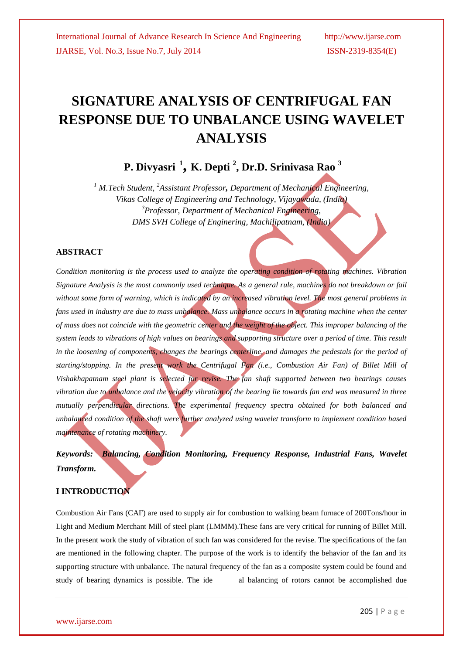# **SIGNATURE ANALYSIS OF CENTRIFUGAL FAN RESPONSE DUE TO UNBALANCE USING WAVELET ANALYSIS**

 **P. Divyasri <sup>1</sup> , K. Depti <sup>2</sup> , Dr.D. Srinivasa Rao <sup>3</sup>**

*<sup>1</sup> M.Tech Student, <sup>2</sup>Assistant Professor, Department of Mechanical Engineering, Vikas College of Engineering and Technology, Vijayawada, (India) <sup>3</sup>Professor, Department of Mechanical Engineering, DMS SVH College of Enginering, Machilipatnam, (India)*

### **ABSTRACT**

*Condition monitoring is the process used to analyze the operating condition of rotating machines. Vibration Signature Analysis is the most commonly used technique. As a general rule, machines do not breakdown or fail*  without some form of warning, which is indicated by an increased vibration level. The most general problems in *fans used in industry are due to mass unbalance. Mass unbalance occurs in a rotating machine when the center of mass does not coincide with the geometric center and the weight of the object. This improper balancing of the system leads to vibrations of high values on bearings and supporting structure over a period of time. This result in the loosening of components, changes the bearings centerline, and damages the pedestals for the period of starting/stopping. In the present work the Centrifugal Fan (i.e., Combustion Air Fan) of Billet Mill of Vishakhapatnam steel plant is selected for revise. The fan shaft supported between two bearings causes vibration due to unbalance and the velocity vibration of the bearing lie towards fan end was measured in three mutually perpendicular directions. The experimental frequency spectra obtained for both balanced and unbalanced condition of the shaft were further analyzed using wavelet transform to implement condition based maintenance of rotating machinery.* 

*Keywords: Balancing, Condition Monitoring, Frequency Response, Industrial Fans, Wavelet Transform.*

#### **I INTRODUCTION**

Combustion Air Fans (CAF) are used to supply air for combustion to walking beam furnace of 200Tons/hour in Light and Medium Merchant Mill of steel plant (LMMM).These fans are very critical for running of Billet Mill. In the present work the study of vibration of such fan was considered for the revise. The specifications of the fan are mentioned in the following chapter. The purpose of the work is to identify the behavior of the fan and its supporting structure with unbalance. The natural frequency of the fan as a composite system could be found and study of bearing dynamics is possible. The ide al balancing of rotors cannot be accomplished due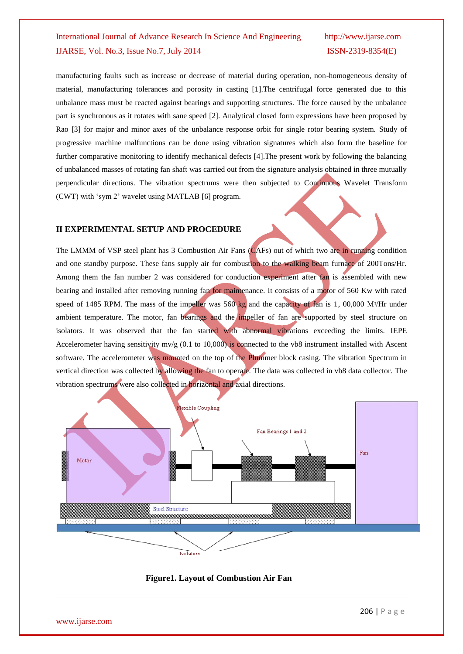manufacturing faults such as increase or decrease of material during operation, non-homogeneous density of material, manufacturing tolerances and porosity in casting [1].The centrifugal force generated due to this unbalance mass must be reacted against bearings and supporting structures. The force caused by the unbalance part is synchronous as it rotates with sane speed [2]. Analytical closed form expressions have been proposed by Rao [3] for major and minor axes of the unbalance response orbit for single rotor bearing system. Study of progressive machine malfunctions can be done using vibration signatures which also form the baseline for further comparative monitoring to identify mechanical defects [4].The present work by following the balancing of unbalanced masses of rotating fan shaft was carried out from the signature analysis obtained in three mutually perpendicular directions. The vibration spectrums were then subjected to Continuous Wavelet Transform (CWT) with "sym 2" wavelet using MATLAB [6] program.

#### **II EXPERIMENTAL SETUP AND PROCEDURE**

The LMMM of VSP steel plant has 3 Combustion Air Fans (CAFs) out of which two are in running condition and one standby purpose. These fans supply air for combustion to the walking beam furnace of 200Tons/Hr. Among them the fan number 2 was considered for conduction experiment after fan is assembled with new bearing and installed after removing running fan for maintenance. It consists of a motor of 560 Kw with rated speed of 1485 RPM. The mass of the impeller was 560 kg and the capacity of fan is 1, 00,000 M $\frac{3}{4}$ r under ambient temperature. The motor, fan bearings and the impeller of fan are supported by steel structure on isolators. It was observed that the fan started with abnormal vibrations exceeding the limits. IEPE Accelerometer having sensitivity mv/g (0.1 to 10,000) is connected to the vb8 instrument installed with Ascent software. The accelerometer was mounted on the top of the Plummer block casing. The vibration Spectrum in vertical direction was collected by allowing the fan to operate. The data was collected in vb8 data collector. The vibration spectrums were also collected in horizontal and axial directions.



#### **Figure1. Layout of Combustion Air Fan**

www.ijarse.com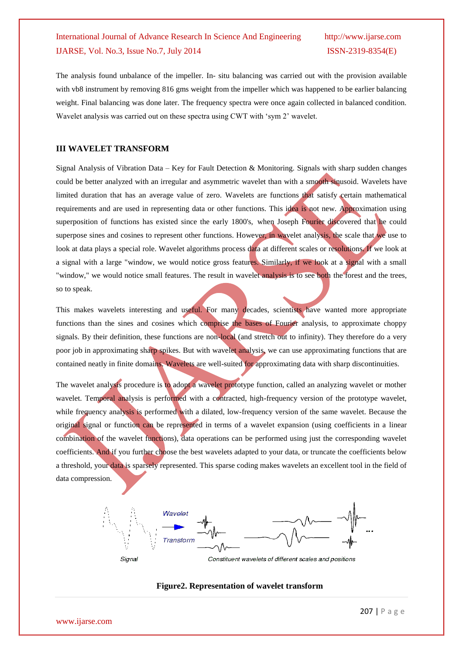The analysis found unbalance of the impeller. In- situ balancing was carried out with the provision available with vb8 instrument by removing 816 gms weight from the impeller which was happened to be earlier balancing weight. Final balancing was done later. The frequency spectra were once again collected in balanced condition. Wavelet analysis was carried out on these spectra using CWT with 'sym 2' wavelet.

#### **III WAVELET TRANSFORM**

Signal Analysis of Vibration Data – Key for Fault Detection & Monitoring. Signals with sharp sudden changes could be better analyzed with an irregular and asymmetric wavelet than with a smooth sinusoid. Wavelets have limited duration that has an average value of zero. Wavelets are functions that satisfy certain mathematical requirements and are used in representing data or other functions. This idea is not new. Approximation using superposition of functions has existed since the early 1800's, when Joseph Fourier discovered that he could superpose sines and cosines to represent other functions. However, in wavelet analysis, the scale that we use to look at data plays a special role. Wavelet algorithms process data at different scales or resolutions. If we look at a signal with a large "window, we would notice gross features. Similarly, if we look at a signal with a small "window," we would notice small features. The result in wavelet analysis is to see both the forest and the trees, so to speak.

This makes wavelets interesting and useful. For many decades, scientists have wanted more appropriate functions than the sines and cosines which comprise the bases of Fourier analysis, to approximate choppy signals. By their definition, these functions are non-local (and stretch out to infinity). They therefore do a very poor job in approximating sharp spikes. But with wavelet analysis, we can use approximating functions that are contained neatly in finite domains. Wavelets are well-suited for approximating data with sharp discontinuities.

The wavelet analysis procedure is to adopt a wavelet prototype function, called an analyzing wavelet or mother wavelet. Temporal analysis is performed with a contracted, high-frequency version of the prototype wavelet, while frequency analysis is performed with a dilated, low-frequency version of the same wavelet. Because the original signal or function can be represented in terms of a wavelet expansion (using coefficients in a linear combination of the wavelet functions), data operations can be performed using just the corresponding wavelet coefficients. And if you further choose the best wavelets adapted to your data, or truncate the coefficients below a threshold, your data is sparsely represented. This sparse coding makes wavelets an excellent tool in the field of data compression.



#### **Figure2. Representation of wavelet transform**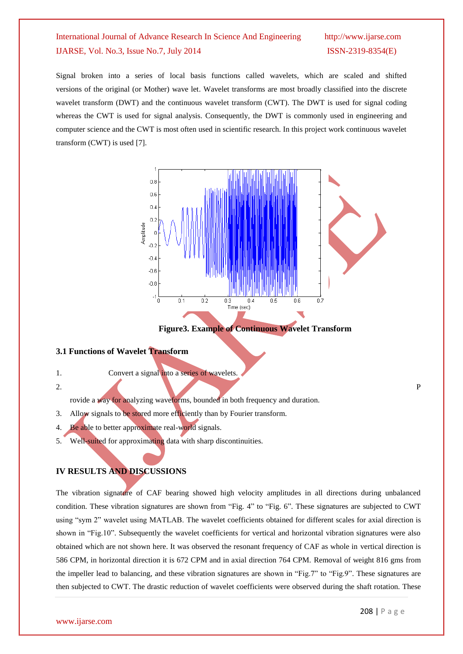Signal broken into a series of local basis functions called wavelets, which are scaled and shifted versions of the original (or Mother) wave let. Wavelet transforms are most broadly classified into the [discrete](http://computervision.wikia.com/index.php?title=Discrete_wavelet_transform&action=edit&redlink=1)  [wavelet transform](http://computervision.wikia.com/index.php?title=Discrete_wavelet_transform&action=edit&redlink=1) (DWT) and the continuous [wavelet transform](http://computervision.wikia.com/index.php?title=Continuous_wavelet_transform&action=edit&redlink=1) (CWT). The DWT is used for [signal coding](http://computervision.wikia.com/index.php?title=Signal_coding&action=edit&redlink=1) whereas the CWT is used for [signal analysis.](http://computervision.wikia.com/index.php?title=Signal_analysis&action=edit&redlink=1) Consequently, the DWT is commonly used in engineering and computer science and the CWT is most often used in scientific research. In this project work continuous wavelet transform (CWT) is used [7].



**Figure3. Example of Continuous Wavelet Transform**

#### **3.1 Functions of Wavelet Transform**

1. Convert a signal into a series of wavelets.

2. P

rovide a way for analyzing waveforms, bounded in both frequency and duration.

- 3. Allow signals to be stored more efficiently than by Fourier transform.
- 4. Be able to better approximate real-world signals.
- 5. Well-suited for approximating data with sharp discontinuities.

### **IV RESULTS AND DISCUSSIONS**

The vibration signature of CAF bearing showed high velocity amplitudes in all directions during unbalanced condition. These vibration signatures are shown from "Fig. 4" to "Fig. 6". These signatures are subjected to CWT using "sym 2" wavelet using MATLAB. The wavelet coefficients obtained for different scales for axial direction is shown in "Fig.10". Subsequently the wavelet coefficients for vertical and horizontal vibration signatures were also obtained which are not shown here. It was observed the resonant frequency of CAF as whole in vertical direction is 586 CPM, in horizontal direction it is 672 CPM and in axial direction 764 CPM. Removal of weight 816 gms from the impeller lead to balancing, and these vibration signatures are shown in "Fig.7" to "Fig.9". These signatures are then subjected to CWT. The drastic reduction of wavelet coefficients were observed during the shaft rotation. These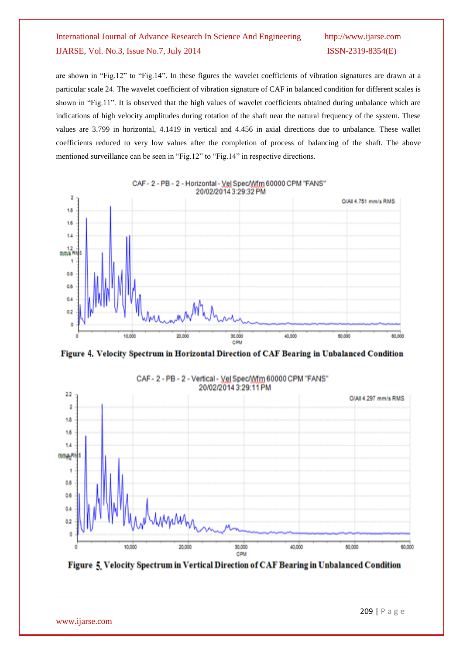are shown in "Fig.12" to "Fig.14". In these figures the wavelet coefficients of vibration signatures are drawn at a particular scale 24. The wavelet coefficient of vibration signature of CAF in balanced condition for different scales is shown in "Fig.11". It is observed that the high values of wavelet coefficients obtained during unbalance which are indications of high velocity amplitudes during rotation of the shaft near the natural frequency of the system. These values are 3.799 in horizontal, 4.1419 in vertical and 4.456 in axial directions due to unbalance. These wallet coefficients reduced to very low values after the completion of process of balancing of the shaft. The above mentioned surveillance can be seen in "Fig.12" to "Fig.14" in respective directions.



CAF-2-PB-2-Horizontal-VelSpec/Wfm 60000 CPM "FANS"

Figure 4. Velocity Spectrum in Horizontal Direction of CAF Bearing in Unbalanced Condition



CAF - 2 - PB - 2 - Vertical - Vel Spec/Wfm 60000 CPM "FANS"

Figure 5 Velocity Spectrum in Vertical Direction of CAF Bearing in Unbalanced Condition

www.ijarse.com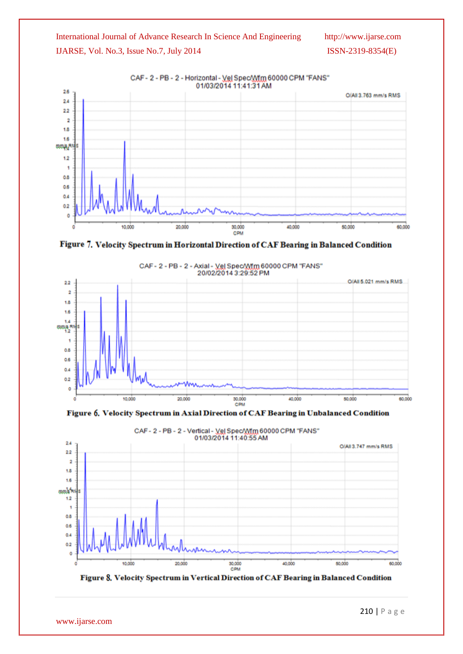



CAF - 2 - PB - 2 - Horizontal - Vel Spec/Wfm 60000 CPM "FANS"





Figure 6. Velocity Spectrum in Axial Direction of CAF Bearing in Unbalanced Condition



CAF-2-PB-2-Vertical-VelSpec/Wfm 60000 CPM "FANS"

Figure 8. Velocity Spectrum in Vertical Direction of CAF Bearing in Balanced Condition

www.ijarse.com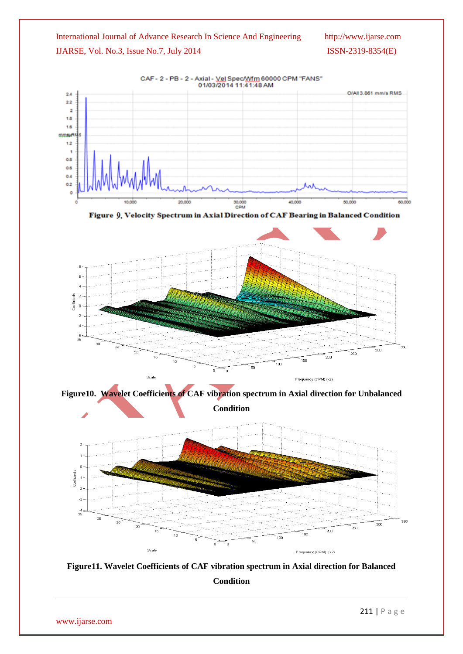





**Figure10. Wavelet Coefficients of CAF vibration spectrum in Axial direction for Unbalanced Condition**





www.ijarse.com

211 | P a g e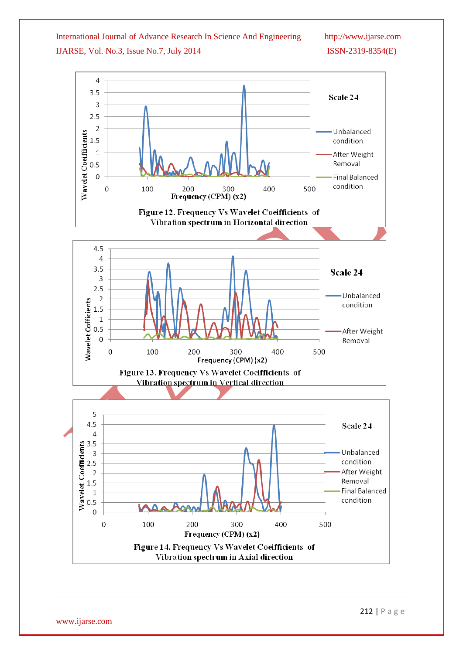

www.ijarse.com

212 | P a g e